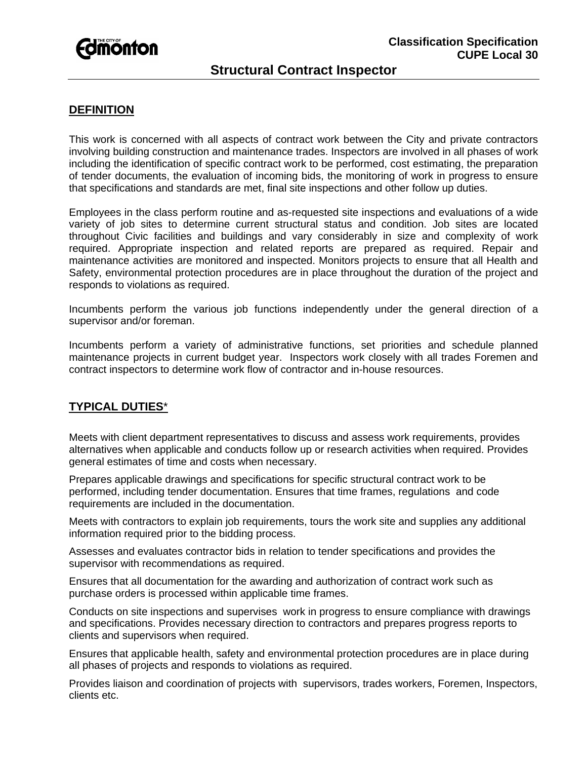

# **Structural Contract Inspector**

### **DEFINITION**

This work is concerned with all aspects of contract work between the City and private contractors involving building construction and maintenance trades. Inspectors are involved in all phases of work including the identification of specific contract work to be performed, cost estimating, the preparation of tender documents, the evaluation of incoming bids, the monitoring of work in progress to ensure that specifications and standards are met, final site inspections and other follow up duties.

Employees in the class perform routine and as-requested site inspections and evaluations of a wide variety of job sites to determine current structural status and condition. Job sites are located throughout Civic facilities and buildings and vary considerably in size and complexity of work required. Appropriate inspection and related reports are prepared as required. Repair and maintenance activities are monitored and inspected. Monitors projects to ensure that all Health and Safety, environmental protection procedures are in place throughout the duration of the project and responds to violations as required.

Incumbents perform the various job functions independently under the general direction of a supervisor and/or foreman.

Incumbents perform a variety of administrative functions, set priorities and schedule planned maintenance projects in current budget year. Inspectors work closely with all trades Foremen and contract inspectors to determine work flow of contractor and in-house resources.

### **TYPICAL DUTIES**\*

Meets with client department representatives to discuss and assess work requirements, provides alternatives when applicable and conducts follow up or research activities when required. Provides general estimates of time and costs when necessary.

Prepares applicable drawings and specifications for specific structural contract work to be performed, including tender documentation. Ensures that time frames, regulations and code requirements are included in the documentation.

Meets with contractors to explain job requirements, tours the work site and supplies any additional information required prior to the bidding process.

Assesses and evaluates contractor bids in relation to tender specifications and provides the supervisor with recommendations as required.

Ensures that all documentation for the awarding and authorization of contract work such as purchase orders is processed within applicable time frames.

Conducts on site inspections and supervises work in progress to ensure compliance with drawings and specifications. Provides necessary direction to contractors and prepares progress reports to clients and supervisors when required.

Ensures that applicable health, safety and environmental protection procedures are in place during all phases of projects and responds to violations as required.

Provides liaison and coordination of projects with supervisors, trades workers, Foremen, Inspectors, clients etc.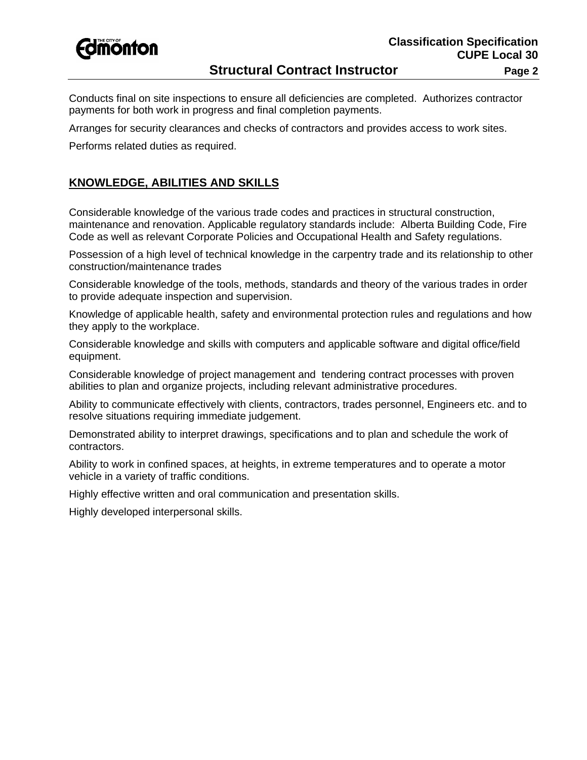

## **Structural Contract Instructor Fage 2** Page 2

Conducts final on site inspections to ensure all deficiencies are completed. Authorizes contractor payments for both work in progress and final completion payments.

Arranges for security clearances and checks of contractors and provides access to work sites.

Performs related duties as required.

### **KNOWLEDGE, ABILITIES AND SKILLS**

Considerable knowledge of the various trade codes and practices in structural construction, maintenance and renovation. Applicable regulatory standards include: Alberta Building Code, Fire Code as well as relevant Corporate Policies and Occupational Health and Safety regulations.

Possession of a high level of technical knowledge in the carpentry trade and its relationship to other construction/maintenance trades

Considerable knowledge of the tools, methods, standards and theory of the various trades in order to provide adequate inspection and supervision.

Knowledge of applicable health, safety and environmental protection rules and regulations and how they apply to the workplace.

Considerable knowledge and skills with computers and applicable software and digital office/field equipment.

Considerable knowledge of project management and tendering contract processes with proven abilities to plan and organize projects, including relevant administrative procedures.

Ability to communicate effectively with clients, contractors, trades personnel, Engineers etc. and to resolve situations requiring immediate judgement.

Demonstrated ability to interpret drawings, specifications and to plan and schedule the work of contractors.

Ability to work in confined spaces, at heights, in extreme temperatures and to operate a motor vehicle in a variety of traffic conditions.

Highly effective written and oral communication and presentation skills.

Highly developed interpersonal skills.